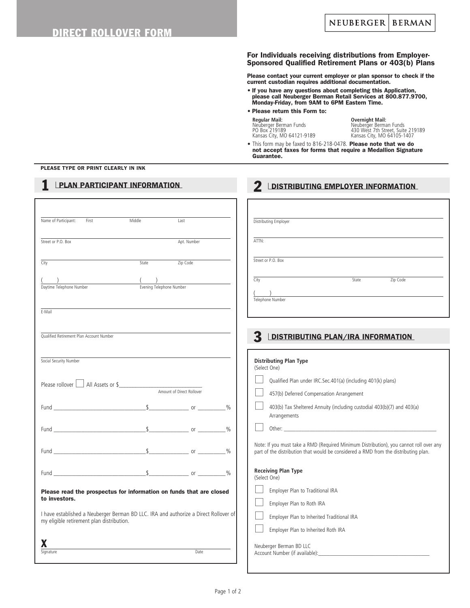#### For Individuals receiving distributions from Employer-Sponsored Qualified Retirement Plans or 403(b) Plans

Please contact your current employer or plan sponsor to check if the current custodian requires additional documentation.

• If you have any questions about completing this Application, please call Neuberger Berman Retail Services at 800.877.9700, Monday-Friday, from 9AM to 6PM Eastern Time.

#### • Please return this Form to:

 **Regular Mail: Overnight Mail:** Neuberger Berman Funds Neuberger Berman Funds Kansas City, MO 64121-9189 Kansas City, MO 64105-1407

Poutinger Berman Funds<br>430 West 7th Street, Suite 219189<br>Kansas City, MO 64105-1407

• This form may be faxed to 816-218-0478. Please note that we do not accept faxes for forms that require a Medallion Signature Guarantee.

2 LDISTRIBUTING EMPLOYER INFORMATION

#### PLEASE TYPE OR PRINT CLEARLY IN INK

# **1** LPLAN PARTICIPANT INFORMATION

| Middle<br>Name of Participant:<br>First<br>Last                                                                                   | Distributing Employer                                                                                                                                                         |
|-----------------------------------------------------------------------------------------------------------------------------------|-------------------------------------------------------------------------------------------------------------------------------------------------------------------------------|
| Street or P.O. Box<br>Apt. Number                                                                                                 | ATTN:                                                                                                                                                                         |
| Zip Code<br>State<br>City                                                                                                         | Street or P.O. Box                                                                                                                                                            |
| Daytime Telephone Number<br>Evening Telephone Number                                                                              | <u>State</u> <b>Code</b><br>City<br><u> 1980 - Johann Barbara, martin amerikan basal dan berasal dalam basal dalam basal dan berasal dalam basal dala</u><br>Telephone Number |
| E-Mail                                                                                                                            |                                                                                                                                                                               |
| Oualified Retirement Plan Account Number                                                                                          | <b>DISTRIBUTING PLAN/IRA INFORMATION</b>                                                                                                                                      |
| Social Security Number                                                                                                            | <b>Distributing Plan Type</b><br>(Select One)                                                                                                                                 |
| Please rollover All Assets or \$                                                                                                  | Qualified Plan under IRC.Sec.401(a) (including 401(k) plans)<br>457(b) Deferred Compensation Arrangement                                                                      |
|                                                                                                                                   | 403(b) Tax Sheltered Annuity (including custodial 403(b)(7) and 403(a)<br>Arrangements                                                                                        |
|                                                                                                                                   |                                                                                                                                                                               |
|                                                                                                                                   | Note: If you must take a RMD (Required Minimum Distribution), you cannot roll over any<br>part of the distribution that would be considered a RMD from the distributing plan. |
|                                                                                                                                   | <b>Receiving Plan Type</b><br>(Select One)                                                                                                                                    |
| Please read the prospectus for information on funds that are closed<br>to investors.                                              | Employer Plan to Traditional IRA<br>Employer Plan to Roth IRA                                                                                                                 |
| I have established a Neuberger Berman BD LLC. IRA and authorize a Direct Rollover of<br>my eligible retirement plan distribution. | Employer Plan to Inherited Traditional IRA<br>Employer Plan to Inherited Roth IRA                                                                                             |
| Date<br>Signature                                                                                                                 | Neuberger Berman BD LLC                                                                                                                                                       |